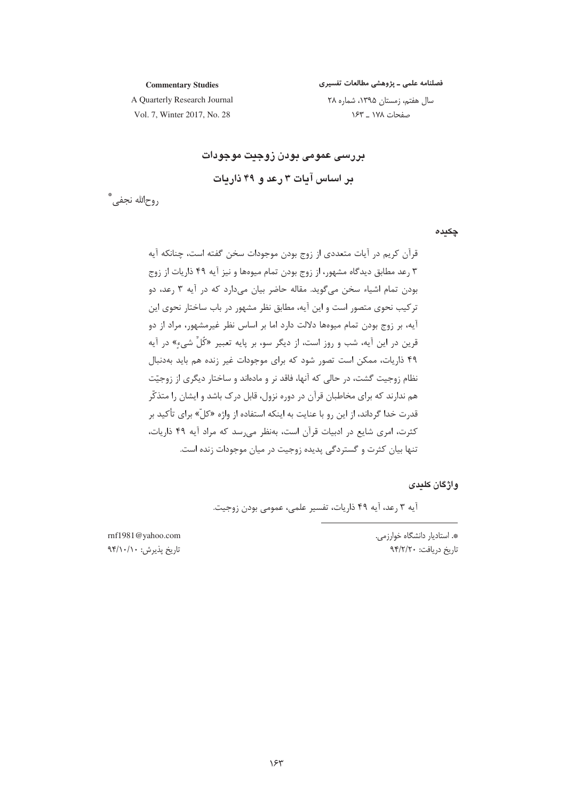فصلنامه علمی ـ پژوهشی مطالعات تفسیری سال هفتم، زمستان ۱۳۹۵، شماره ۲۸

صفحات ١٧٨ \_ ١۶٣

**Commentary Studies** 

A Quarterly Research Journal Vol. 7, Winter 2017, No. 28

> بررسی عمومی بودن زوجیت موجودات بر اساس آبات ۳ رعد و ۴۹ ذاریات

روح|لله نجفي، ٌ

چکیدہ

قرآن کریم در آیات متعددی از زوج بودن موجودات سخن گفته است، چنانکه آیه ۳ رعد مطابق دیدگاه مشهور، از زوج بودن تمام میوهها و نیز آیه ۴۹ ذاریات از زوج بودن تمام اشیاء سخن میگوید. مقاله حاضر بیان می دارد که در آیه ۳ رعد، دو ترکیب نحوی متصور است و این آیه، مطابق نظر مشهور در باب ساختار نحوی این آيه، بر زوج بودن تمام ميوهها دلالت دارد اما بر اساس نظر غيرمشهور، مراد از دو قرین در این آیه، شب و روز است، از دیگر سو، بر پایه تعبیر «کُلِّ شیءِ» در آیه ۴۹ ذاریات، ممکن است تصور شود که برای موجودات غیر زنده هم باید بهدنبال نظام زوجیت گشت، در حالی که آنها، فاقد نر و مادهاند و ساختار دیگری از زوجیّت هم ندارند که برای مخاطبان قرآن در دوره نزول، قابل درک باشد و ایشان را متذکّر قدرت خدا گرداند، از این رو با عنایت به اینکه استفاده از واژه «کلّ» برای تأکید بر كثرت، امرى شايع در ادبيات قرآن است، بهنظر مى رسد كه مراد آيه ۴۹ ذاريات، تنها بیان کثرت و گستردگی پدیده زوجیت در میان موجودات زنده است.

و اژ گان کلیدی

آيه ٣ رعد، آيه ۴۹ ذاريات، تفسير علمي، عمومي بودن زوجيت.

\*. استادیار دانشگاه خوارزمی. تاریخ دریافت: ۹۴/۲/۲۰

rnf1981@yahoo.com تاريخ پذيرش: ٩۴/١٠/١٠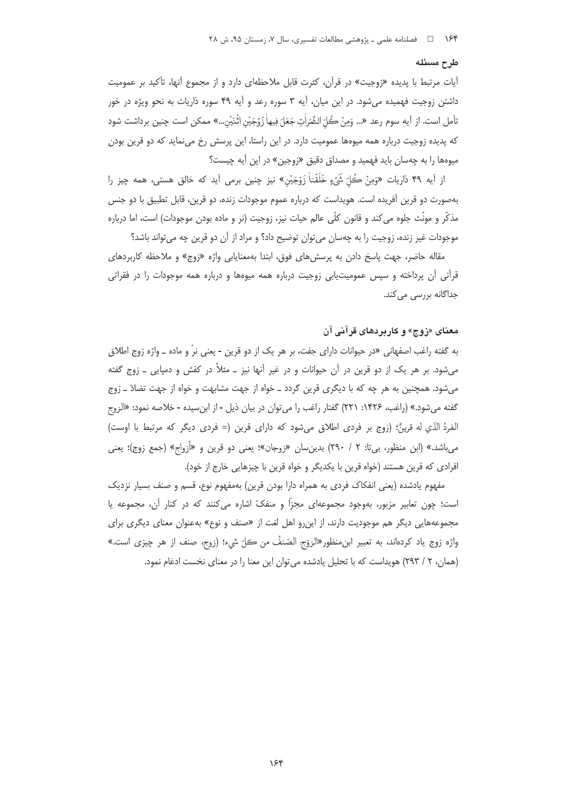## طرح مسئله

آیات مرتبط با پدیده «زوجیت» در قرآن، کثرت قابل ملاحظهای دارد و از مجموع آنها، تأکید بر عمومیت داشتن زوجیت فهمیده می شود. در این میان، آیه ۳ سوره رعد و آیه ۴۹ سوره ذاریات به نحو ویژه در خور تأمل است. از آيه سوم رعد «... وَمِنْ كُلّ الشَّرَاٰتِ جَعَلَ فِيهاٰ زَوْجَيْنِ اثْنَيْنِ...» ممكن است چنين برداشت شود که پدیده زوجیت درباره همه میوهها عمومیت دارد. در این راستا، این پرسش رخ می نماید که دو قرین بودن میوهها را به چهسان باید فهمید و مصداق دقیق «زوجین» در این آیه چیست؟

از آيه ۴۹ ذاريات «وَمِنْ كُلّ شَيْءٍ خَلَقْناٰ زَوْجَيْنِ» نيز چنين برمي آيد كه خالق هستي، همه چيز را بهصورت دو قرین آفریده است. هویداست که درباره عموم موجودات زنده، دو قرین، قابل تطبیق با دو جنس مذکّر و مونّث جلوه میکند و قانون کلّی عالم حیات نیز، زوجیت (نر و ماده بودن موجودات) است، اما درباره موجودات غیر زنده، زوجیت را به چهسان می توان توضیح داد؟ و مراد از آن دو قرین چه می تواند باشد؟

مقاله حاضر، جهت پاسخ دادن به پرسشهای فوق، ابتدا بهمعنایابی واژه «زوج» و ملاحظه کاربردهای قرآنی آن پرداخته و سپس عمومیتیابی زوجیت درباره همه میوهها و درباره همه موجودات را در فقراتی جداگانه بررسے مے کند.

## معنای «زوج» و کاربردهای قرآنی آن

به گفته راغب اصفهانی «در حیوانات دارای جفت، بر هر یک از دو قرین - یعنی نرّ و ماده ــ واژه زوج اطلاق میشود. بر هر یک از دو قرین در آن حیوانات و در غیر آنها نیز ــ مثلاً در کفش و دمپایی ــ زوج گفته میشود. همچنین به هر چه که با دیگری قرین گردد ــ خواه از جهت مشابهت و خواه از جهت تضادّ ــ زوج گفته میشود.» (راغب، ۱۴۲۶: ۲۲۱) گفتار راغب را میتوان در بیان ذیل - از ابنِسیده - خلاصه نمود: «الزوج الفردُ الذّي له قرينٌ؛ (زوج بر فردي اطلاق ميشود كه داراي قرين (= فردي ديگر كه مرتبط با اوست) میباشد.» (ابن منظور، بی¤: ۲ / ۲۹۰) بدینِسان «زوجان»؛ یعنی دو قرین و «أزواج» (جمع زوج)؛ یعنی افرادی که قرین هستند (خواه قرین با یکدیگر و خواه قرین با چیزهایی خارج از خود).

مفهوم يادشده (يعني انفكاك فردى به همراه دارا بودن قرين) بهمفهوم نوع، قسم و صنف بسيار نزديك است؛ چون تعابیر مزبور، بهوجود مجموعهای مجزاً و منفکّ اشاره می کنند که در کنار آن، مجموعه یا مجموعههایی دیگر هم موجودیت دارند، از اینرو اهل لغت از «صنف و نوع» بهعنوان معنای دیگری برای واژه زوج ياد كردهاند، به تعبير ابنِمنظورِ«الزوّج الصّنفُ من كلّ شيء؛ (زوج، صنف از هر چيزي است.» (همان، ٢ / ٢٩٣) هويداست كه با تحليل يادشده مى توان اين معنا را در معناى نخست ادغام نمود.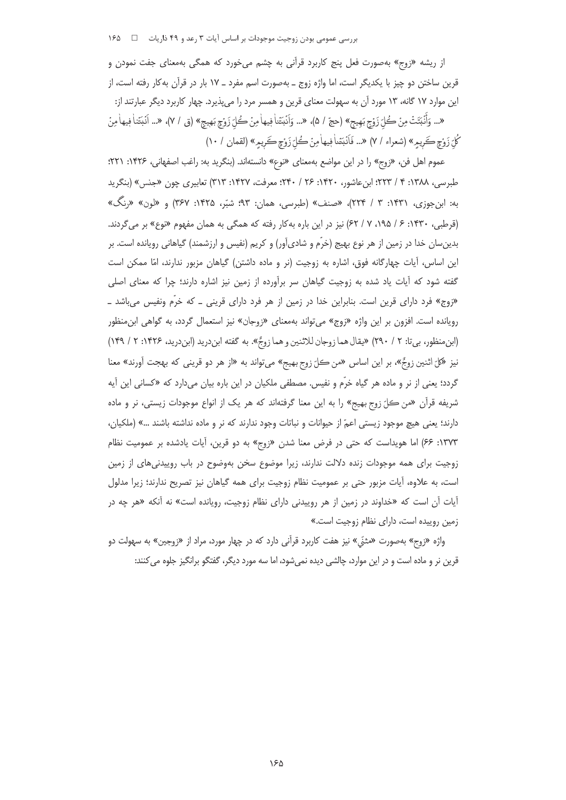از ریشه «زوج» بهصورت فعل پنج کاربرد قرآنی به چشم می خورد که همگی بهمعنای جفت نمودن و قرین ساختن دو چیز با یکدیگر است، اما واژه زوج ـ بهصورت اسم مفرد ـ ۱۷ بار در قرآن بهکار رفته است، از این موارد ۱۷ گانه، ۱۳ مورد آن به سهولت معنای قرین و همسر مرد را میپذیرد. چهار کاربرد دیگر عبارتند از: «... وَأَنْبَتَتْ مِنْ كُلِّ زَوْجٍ بَهِيجٍ» (حجّ / ۵)، «... وَأَنْبَتَنا فٖيها مِنْ كُلِّ زَوْجٍ بَهيجٍ» (ق / ٧)، «... أنْبَتَنا فٖيها مِنْ كُلّ زَوْجٍ كَريمٍ» (شعراء / ٧) «... فَاَنْبَتَناْ فِيهاْمِنْ كُلّ زَوْجٍ كَريمٍ» (لقمان / ١٠)

عموم اهل فن، «زوج» را در این مواضع بهمعنای «نوع» دانستهاند. (بنگرید به: راغب اصفهانی، ۱۴۲۶: ۲۲۱؛ طبرسی، ۱۳۸۸: ۴ / ۲۲۳؛ ابنِ عاشور، ۱۴۲۰: ۲۶ / ۲۴۰؛ معرفت، ۱۴۲۷: ۳۱۳) تعابیری چون «جنس» (بنگرید به: ابنجوزي، ١۴٣١: ٣ / ٢٢۴)، «صنف» (طبرسي، همان: ٩٣؛ شبّر، ١۴٢۵: ٣۶٧) و «لون» «رنگ» (قرطبی، ۱۴۳۰: ۶ / ۱۹۵، ۷ / ۶۲) نیز در این باره بهکار رفته که همگی به همان مفهوم «نوع» بر می گردند. بدینِسان خدا در زمین از هر نوع بهیج (خرّم و شادیآور) و کریم (نفیس و ارزشمند) گیاهانی رویانده است. بر این اساس، آیات چهارگانه فوق، اشاره به زوجیت (نر و ماده داشتن) گیاهان مزبور ندارند، امّا ممکن است گفته شود که اًیات یاد شده به زوجیت گیاهان سر براًورده از زمین نیز اشاره دارند؛ چرا که معنای اصلی «زوج» فرد دارای قرین است. بنابراین خدا در زمین از هر فرد دارای قرینی ـ که خرّم ونفیس میباشد ـ رویانده است. افزون بر این واژه «زوج» میتواند بهمعنای «زوجان» نیز استعمال گردد، به گواهی ابنمنظور (ابن منظور، بيتا: ٢ / ٢٩٠) «يقال هما زوجان للاثنين و هما زوجٌ». به گفته ابن دريد (ابن دريد، ١۴٢۶: ٢ / ١۴٩) نيز «کلّ اثنين زوجٌ»، بر اين اساس «من كلّ زوج بهيج» مي تواند به «از هر دو قريني كه بهجت آورند» معنا گردد؛ یعنی از نر و ماده هر گیاه خرّم و نفیس. مصطفی ملکیان در این باره بیان میدارد که «کسانی این آیه شريفه قرآن «من كلّ زوج بهيج» را به اين معنا گرفتهاند كه هر يک از انواع موجودات زيستي، نر و ماده دارند؛ یعنی هیچ موجود زیستی اعمّ از حیوانات و نباتات وجود ندارند که نر و ماده نداشته باشند …» (ملکیان، ١٣٧٣: ۶۶) اما هويداست كه حتى در فرض معنا شدن «زوج» به دو قرين، آيات يادشده بر عموميت نظام زوجیت برای همه موجودات زنده دلالت ندارند، زیرا موضوع سخن بهوضوح در باب روییدنی های از زمین است، به علاوه، آیات مزبور حتی بر عمومیت نظام زوجیت برای همه گیاهان نیز تصریح ندارند؛ زیرا مدلول آیات اًن است که «خداوند در زمین از هر روییدنی دارای نظام زوجیت، رویانده است» نه آنکه «هر چه در زمین روییده است، دارای نظام زوجیت است.»

واژه «زوج» بهصورت «مثنّى» نيز هفت كاربرد قرآني دارد كه در چهار مورد، مراد از «زوجين» به سهولت دو قرین نر و ماده است و در این موارد، چالشی دیده نمیشود، اما سه مورد دیگر، گفتگو برانگیز جلوه می کنند: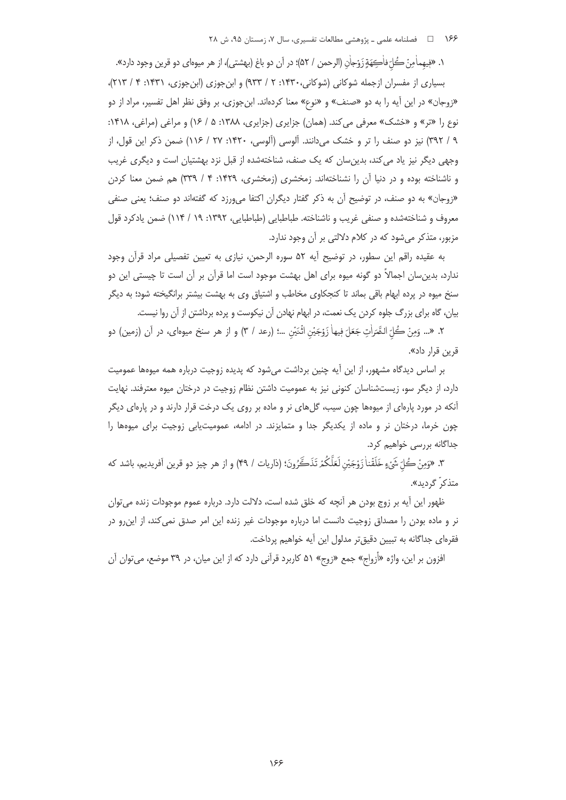۱۶۶ - میلنامه علمی ـ پژوهشی مطالعات تفسیری، سال ۷، زمستان ۹۵، ش ۲۸

١. «فِيهماٰمِنْ كُلّ فاٰكِهَةٍ زَوْجاٰن (الرحمن / ٥٢)؛ در آن دو باغ (بهشتي)، از هر ميوهاي دو قرين وجود دارد».

بسیاری از مفسران ازجمله شوکانی (شوکانی،۱۴۳۰: ۲ / ۹۳۳) و ابنجوزی (ابنجوزی، ۱۴۳۱: ۴ / ۲۱۳)، «زوجان» در این آیه را به دو «صنف» و «نوع» معنا کردهاند. ابنجوزی، بر وفق نظر اهل تفسیر، مراد از دو نوع را «تر» و «خشک» معرفی می کند. (همان) جزایری (جزایری، ۱۳۸۸: ۵ / ۱۶) و مراغی (مراغی، ۱۴۱۸: ۹ / ۳۹۲) نیز دو صنف را تر و خشک می دانند. آلوسی (آلوسی، ۱۴۲۰: ۲۷ / ۱۱۶) ضمن ذکر این قول، از وجهی دیگر نیز یاد می کند، بدین سان که یک صنف، شناختهشده از قبل نزد بهشتیان است و دیگری غریب و ناشناخته بوده و در دنیا آن را نشناختهاند. زمخشری (زمخشری، ۱۴۲۹: ۴ / ۳۳۹) هم ضمن معنا کردن «زوجان» به دو صنف، در توضیح آن به ذکر گفتار دیگران اکتفا میeرزد که گفتهاند دو صنف؛ یعنی صنفی معروف و شناختهشده و صنفی غریب و ناشناخته. طباطبایی (طباطبایی، ۱۳۹۲: ۱۹ / ۱۱۴) ضمن یادکرد قول مزبور، متذکر می شود که در کلام دلالتی بر آن وجود ندارد.

به عقيده راقم اين سطور، در توضيح آيه ۵۲ سوره الرحمن، نيازي به تعيين تفصيلي مراد قرآن وجود ندارد، بدین سان اجمالاً دو گونه میوه برای اهل بهشت موجود است اما قرآن بر آن است تا چیستی این دو سنخ میوه در پرده ابهام باقی بماند تا کنجکاوی مخاطب و اشتیاق وی به بهشت بیشتر برانگیخته شود؛ به دیگر بیان، گاه برای بزرگ جلوه کردن یک نعمت، در ابهام نهادن آن نیکوست و پرده برداشتن از آن روا نیست.

٢. «... وَمِنْ كُلِّ الشَّمَرَاٰتِ جَعَلَ فِيهاٰ زَوْجَيْنِ اثْنَيْنِ …؛ (رعد / ٣) و از هر سنخ ميوهاي، در آن (زمين) دو قرین قرار داد».

بر اساس دیدگاه مشهور، از این آیه چنین برداشت میشود که پدیده زوجیت درباره همه میوهها عمومیت دارد، از دیگر سو، زیستشناسان کنونی نیز به عمومیت داشتن نظام زوجیت در درختان میوه معترفند. نهایت آنکه در مورد پارهای از میوهها چون سیب، گلهای نر و ماده بر روی یک درخت قرار دارند و در پارهای دیگر چون خرما، درختان نر و ماده از یکدیگر جدا و متمایزند. در ادامه، عمومیت یابی زوجیت برای میوهها را جداگانه بررسی خواهیم کرد.

٣. «وَمِنْ كُلّ شَيْءٍ خَلَقْناْ زَوْجَيْنِ لَعَلَّكُمْ تَذَكَّرُونَ؛ (ذاريات / ۴۹) و از هر چيز دو قرين آفريديم، باشد كه متذكر<sup>"</sup> گرديد».

ظهور این آیه بر زوج بودن هر آنچه که خلق شده است، دلالت دارد. درباره عموم موجودات زنده می توان نر و ماده بودن را مصداق زوجیت دانست اما درباره موجودات غیر زنده این امر صدق نمی کند، از این رو در فقرهای جداگانه به تبیین دقیقتر مدلول این آیه خواهیم پرداخت.

افزون بر این، واژه «أزواج» جمع «زوج» ۵۱ کاربرد قرآنی دارد که از این میان، در ۳۹ موضع، می¤وان آن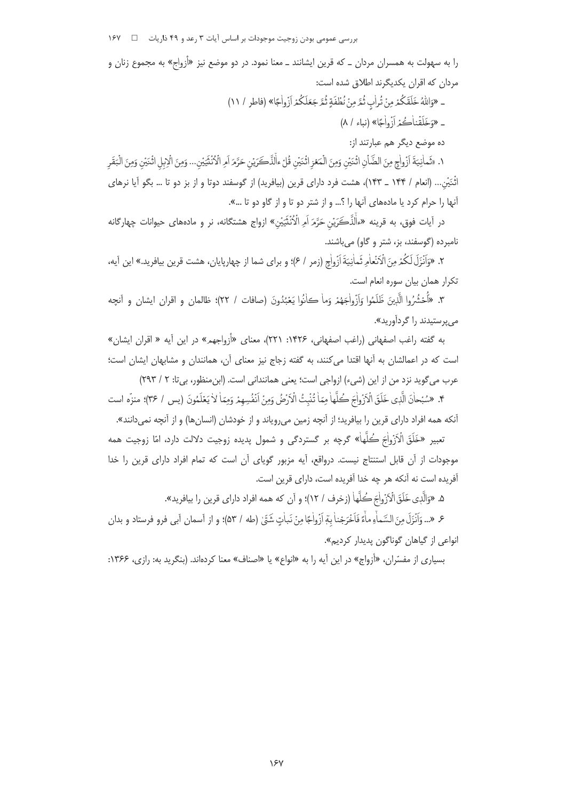بررسی عمومی بودن زوجیت موجودات بر اساس آیات ۳ رعد و ۴۹ ذاریات = 1 × ۱۶۷

را به سهولت به همسران مردان ــ که قرین ایشانند ــ معنا نمود. در دو موضع نیز «أزواج» به مجموع زنان و مردان كه اقران يكديگرند اطلاق شده است:

\_ «وَاللَّهُ خَلَقَكُمْ مِنْ تُرِأْبِ ثُمَّ مِنْ نُطُفَةٍ ثُمَّ جَعَلَكُمْ أَزْواٰجًا» (فاطر / ١١)

\_ «وَخَلَقْناْكُمْرَ أَنْهُ واٰجًا» (نباء / ٨)

ده موضع دیگر هم عبارتند از:

١. «ثَمانِيَةَ أزْواٰجٍ مِنَ الضَّأْنِ اثْنَيْنِ وَمِنَ الْمَعْزِ اثْنَيْنِ قُلْ ءالَّذَّكَيَوْنِ حَرَّمَ أمِ الْأَنْتَيَيْنِ... وَمِنَ الْإِبلِ اثْنَيْنِ وَمِنَ الْبَقَرِ اثْنَيْنِ... (انعام / ۱۴۴ \_ ۱۴۳)، هشت فرد داراي قرين (بيافريد) از گوسفند دوتا و از بز دو تا ... بگو آيا نرهاي أنها را حرام كرد يا مادههاى آنها را ؟... و از شتر دو تا و از گاو دو تا ...».

در اَيات فوق، به قرينه «ءاْلَذَّكَرَيْن حَرَّمَ اَمِرالْأُنْتَيَيْن» ازواج هشتگانه، نر و مادههاي حيوانات چهارگانه نامبرده (گوسفند، بز، شتر و گاو) میباشند.

۲. «وَاَنْزَلَ لَكُمْ مِنَ الْاَنْعاٰمِ ثَماٰنِيَةَ اَزْواٰجِ (زمر / ۶)؛ و براي شما از چهارپايان، هشت قرين بيافريد.» اين آيه، تكرار همان بيان سوره انعام است.

٣. «أَحْشُرُوا الَّذِينَ ظَلَمُوا وَإَزْواٰجَهُمْ وَماْ كانُوا يَعْبُدُونَ (صافات / ٢٢)؛ ظالمان و اقران ايشان و آنچه مي پرستيدند را گردآوريد».

به گفته راغب اصفهانی (راغب اصفهانی، ۱۴۲۶: ۲۲۱)، معنای «أزواجهم» در این آیه « اقران ایشان» است که در اعمالشان به آنها اقتدا می کنند، به گفته زجاج نیز معنای آن، همانندان و مشابهان ایشان است؛ عرب مي گويد نزد من از اين (شيء) ازواجي است؛ يعني هماننداني است. (ابن منظور، بي تا: ٢ / ٢٩٣)

۴. «سُبْحاٰنَ الَّذِي خَلَقَ الْأَزْواٰجَ كُلَّهاٰ مِمّاٰ تُنْبِتُ الْأَرْضُ وَمِنْ اَنْفُسِهِمْ وَمِمّاٰ لاٰ يَعْلَمُونَ (يس / ٣۶)؛ منزِّه است .<br>آنکه همه افراد دارای قرین را بیافرید؛ از آنچه زمین میرویاند و از خودشان (انسانها) و از آنچه نمیدانند».

تعبير «خَلَقَ الْاَزْواٰجَ ڪُلَّهاٰ» گرچه بر گستردگي و شمول پديده زوجيت دلالت دارد، امّا زوجيت همه موجودات از آن قابل استنتاج نیست. درواقع، آیه مزبور گویای آن است که تمام افراد دارای قرین را خدا آفریده است نه آنکه هر چه خدا آفریده است، دارای قرین است.

۵. «وَالَّذِي خَلَقَ الْأَزْواٰجَ كُلَّهَا (زخرف / ١٢)؛ و أن كه همه افراد داراي قرين را بيافريد».

ع «... وَأَنْزَلَ مِنَ السَّماْءِ ماْءً فَأَخْرَجْناٰ بِهَ أَزُواٰجًا مِنْ نَبِاٰتِ شَيِّيٰ (طه / ۵۳)؛ و از آسمان آبي فرو فرستاد و بدان انواعي از گياهان گوناگون بديدار کرديم».

بسیاری از مفسّران، «أزواج» در این آیه را به «انواع» یا «اصناف» معنا کردهاند. (بنگرید به: رازی، ۱۳۶۶: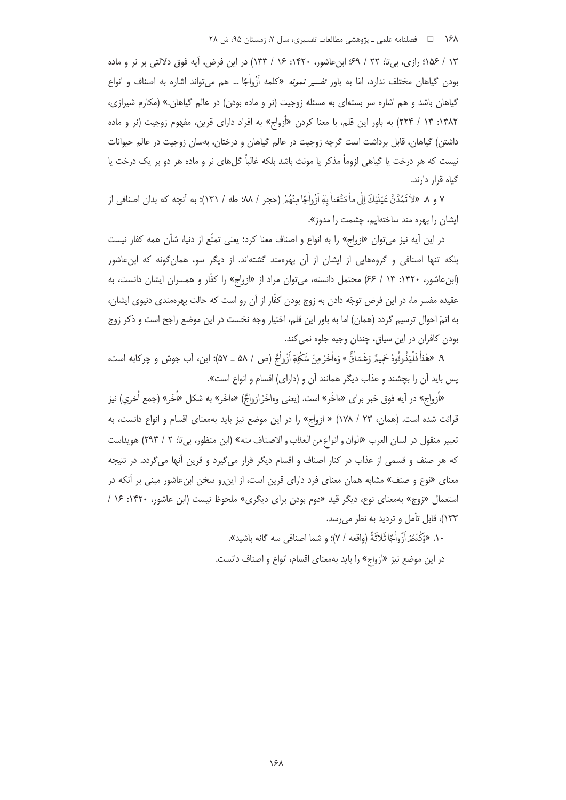١۶٨ = فصلنامه علمي ـ پژوهشي مطالعات تفسيري، سال ٧، زمستان ٩۵، ش ٢٨

١٣ / ١٥۶؛ رازي، بي¤: ٢٢ / ۶٩؛ ابنِ عاشور، ١۴٢٠: ١۶ / ١٣٣) در اين فرض، آيه فوق دلالتي بر نر و ماده بودن گیاهان مختلف ندارد، امّا به باور ت*فسیر نمونه* «کلمه اَزْواٰجًا … هم می¤واند اشاره به اصناف و انواع گیاهان باشد و هم اشاره سر بستهای به مسئله زوجیت (نر و ماده بودن) در عالم گیاهان.» (مکارم شیرازی، ۱۳۸۲: ۱۳ / ۲۲۴) به باور این قلم، با معنا کردن «أزواج» به افراد دارای قرین، مفهوم زوجیت (نر و ماده داشتن) گیاهان، قابل برداشت است گرچه زوجیت در عالم گیاهان و درختان، بهسان زوجیت در عالم حیوانات نیست که هر درخت یا گیاهی لزوماً مذکر یا مونث باشد بلکه غالباً گلهای نر و ماده هر دو بر یک درخت یا گیاه قرار دارند.

٧ و ٨. «لاٰ تَمُدَّنَّ عَيْنَيْكَ إِلَى ماٰ مَتَّعْناٰ بِمِّ أَزُواٰجًا مِنْهُمْ (حجر / ٨٨؛ طه / ١٣١)؛ به آنچه كه بدان اصنافي از ایشان را بهره مند ساختهایم، چشمت را مدوز».

در این آیه نیز میتوان «ازواج» را به انواع و اصناف معنا کرد؛ یعنی تمتّع از دنیا، شأن همه کفار نیست بلکه تنها اصنافی و گروههایی از ایشان از آن بهرهمند گشتهاند. از دیگر سو، همانگونه که ابنءاشور (ابن عاشور، ۱۴۲۰: ۱۳ / ۶۶) محتمل دانسته، می توان مراد از «ازواج» را کفّار و همسران ایشان دانست، به عقيده مفسر ما، در اين فرض توجّه دادن به زوج بودن كفّار از آن رو است كه حالت بهرهمندي دنيوي ايشان، به اتمّ احوال ترسیم گردد (همان) اما به باور این قلم، اختیار وجه نخست در این موضع راجح است و ذکر زوج بودن كافران در اين سياق، چندان وجيه جلوه نمي كند.

٩. «هٰناْ فَلْيَذُوقُوهُ حَمِيمٌ وَغَسَاٰقٌ \* وَءاْخَرُ مِنْ شَكْلِةٖ أَزْواٰجُ (ص / ٥٨ ـ ٥٧)؛ اين، آب جوش و چركابه است، پس باید آن را بچشند و عذاب دیگر همانند آن و (دارای) اقسام و انواع است».

«آزواج» در آيه فوق خبر براى «ءاخَر» است. (يعنى وءاخَرُازواجٌ) «ءاخَر» به شكل «اُخَر» (جمع اُخرى) نيز قرائت شده است. (همان، ٢٣ / ١٧٨) « ازواج» را در اين موضع نيز بايد بهمعناى اقسام و انواع دانست، به تعبير منقول در لسان العرب «الوان و انواع من العذاب و الاصناف منه» (ابن منظور، بي تا: ٢ / ٢٩٣) هويداست که هر صنف و قسمی از عذاب در کنار اصناف و اقسام دیگر قرار میگیرد و قرین آنها میگردد. در نتیجه معنای «نوع و صنف» مشابه همان معنای فرد دارای قرین است، از اینرو سخن ابنِ عاشور مبنی بر آنکه در استعمال «زوج» بهمعنای نوع، دیگر قید «دوم بودن برای دیگری» ملحوظ نیست (ابن عاشور، ۱۴۲۰: ۱۶ / ۱۳۳)، قابل تأمل و تردید به نظر می رسد.

١٠. «وَكُنْتُمْ أَزْواٰجًا ثَلاَثَةً (واقعه / ٧)؛ و شما اصنافي سه گانه باشيد».

در این موضع نیز «ازواج» را باید بهمعنای اقسام، انواع و اصناف دانست.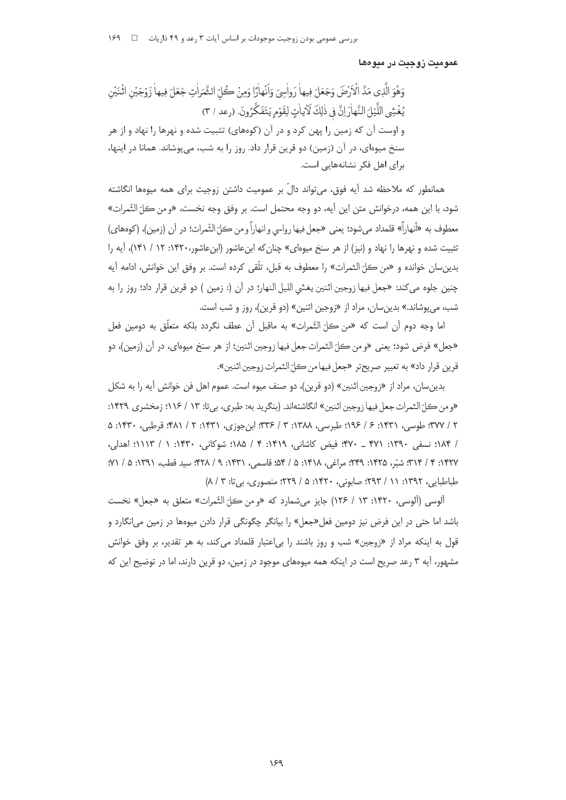عمومیت زوجیت در میوهها

وَهُوَ الَّذِي مَدَّ الْأَرْضَ وَجَعَلَ فِيهاْ رَواٰسِيَ وَأَنْهاٰرًا وَمِنْ كُلِّ الثَّمَرَاٰتِ جَعَلَ فِيهاٰ زَوْجَيْنِ اثْنَيْنِ يُغْشِي اللَّيْلَ النَّهاْرَ إِنَّ فِي ذٰلِكَ لَأَياتٍ لِقَوْمِ يَتَفَكَّرُونَ. (رعد / ٣) و اوست آن که زمین را پهن کرد و در آن (کوههای) تثبیت شده و نهرها را نهاد و از هر سنخ میوهای، در آن (زمین) دو قرین قرار داد. روز را به شب، میپوشاند. همانا در اینها، برای اهل فکر نشانههایی است.

همانطور که ملاحظه شد آیه فوق، می تواند دالّ بر عمومیت داشتن زوجیت برای همه میوهها انگاشته شود، با اين همه، درخوانش متن اين آيه، دو وجه محتمل است. بر وفق وجه نخست، «و من كلّ النِّمرات» معطوف به «أنهاراً» قلمداد مي شود؛ يعني «جعل فيها رواسي و انهاراً و من ڪلّ الثّمرات؛ در آن (زمين)، (كوههاي) تثبیت شده و نهرها را نهاد و (نیز) از هر سنخ میوهای» چنان که ابن عاشور (ابن عاشور،۱۴۲۰: ۱۲ / ۱۴۱)، آیه را بدين سان خوانده و «من كلّ الثمرات» را معطوف به قبل، تلّقي كرده است. بر وفق اين خوانش، ادامه آيه چنين جلوه مي كند: «جعل فيها زوجين اثنين يغشي الليل النهار؛ در أن (: زمين ) دو قرين قرار داد؛ روز را به شب، می پوشاند.» بدین سان، مراد از «زوجین اثنین» (دو قرین)، روز و شب است.

اما وجه دوم أن است كه «من كلّ الثّمرات» به ماقبل أن عطف نگردد بلكه متعلّق به دومين فعل «جعل» فرض شود؛ يعني «ومن كلّ الثمرات جعل فيها زوجين اثنين؛ از هر سنخ ميوهاي، در أن (زمين)، دو قرين قرار داد» به تعبير صريحتر «جعل فيها من كلّ الثمرات زوجين اثنين».

بدين سان، مراد از «زوجين اثنين» (دو قرين)، دو صنف ميوه است. عموم اهل فن خوانش آيه را به شكل «و من كلّ الثمرات جعل فيها زوجين اثنين» انگاشتهاند. (بنگريد به: طبري، بي تا: ١٣ / ١١۶؛ زمخشري ١۴٢٩: ٢ / ٣٧٧: طوسي، ١٣٣١: ۶ / ١٩۶: طبرسي، ١٣٨٨: ٣ / ٣٣۶: ابن جوزي، ١٣٣١: ٢ / ٩٨١: قرطبي، ١۴٣٠: ۵ / ١٨۴؛ نسفي ١٣٩٠: ٢٧١ \_ ٣٧٠؛ فيض كاشاني، ١٣١٩: ٣ / ١٨۵؛ شوكاني، ١٣٣٠: ١ / ١١١٣؛ اهدلي، ١٣٢٧: ٣ / ٣١٣: شيِّر، ١٣٢۵: ٢٣٩: مراغي، ١٣١٨: ۵ / ۵۴: قاسمي، ١٣٣١: ٩ / ٣٢٨: سيد قطب، ١٣٩١: ۵ / ٧١: طباطبایی، ۱۳۹۲: ۱۱ / ۲۹۳؛ صابونی، ۱۴۲۰: ۵ / ۲۲۹؛ منصوری، بی تا: ۸ / ۸)

آلوسي (آلوسي، ١۴٢٠: ١٣ / ١٢۶) جايز مي شمارد كه «و من كلِّ الثَّمرات» متعلق به «جعل» نخست باشد اما حتی در این فرض نیز دومین فعل«جعل» را بیانگر چگونگی قرار دادن میوهها در زمین می|نگارد و قول به اینکه مراد از «زوجین» شب و روز باشند را بی|عتبار قلمداد می کند، به هر تقدیر، بر وفق خوانش مشهور، آیه ۳ رعد صریح است در اینکه همه میوههای موجود در زمین، دو قرین دارند، اما در توضیح این که

 $159$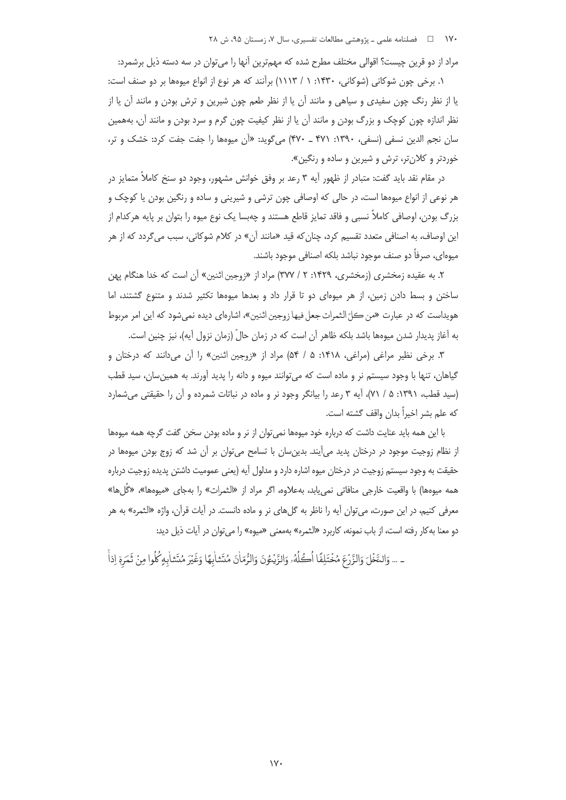مراد از دو قرین چیست؟ اقوالی مختلف مطرح شده که مهمترین آنها را می توان در سه دسته ذیل برشمرد:

۱. برخی چون شوکانی (شوکانی، ۱۴۳۰: ۱ / ۱۱۱۳) برآنند که هر نوع از انواع میوهها بر دو صنف است: یا از نظر رنگ چون سفیدی و سیاهی و مانند آن یا از نظر طعم چون شیرین و ترش بودن و مانند آن یا از نظر اندازه چون کوچک و بزرگ بودن و مانند آن یا از نظر کیفیت چون گرم و سرد بودن و مانند آن، بههمین سان نجم الدین نسفی (نسفی، ۱۳۹۰: ۴۷۱ ـ ۴۷۰) میگوید: «اَن میوهها را جفت جفت کرد: خشک و تر، خوردتر و کلان *تر*، ترش و شیرین و ساده و رنگین».

در مقام نقد باید گفت: متبادر از ظهور آیه ۳ رعد بر وفق خوانش مشهور، وجود دو سنخ کاملاً متمایز در هر نوعی از انواع میوهها است، در حالی که اوصافی چون ترشی و شیرینی و ساده و رنگین بودن یا کوچک و بزرگ بودن، اوصافی کاملاً نسبی و فاقد تمایز قاطع هستند و چهبسا یک نوع میوه را بتوان بر پایه هرکدام از این اوصاف، به اصنافی متعدد تقسیم کرد، چنان که قید «مانند آن» در کلام شوکانی، سبب میگردد که از هر میوهای، صرفاً دو صنف موجود نباشد بلکه اصنافی موجود باشند.

۲. به عقیده زمخشری (زمخشری، ۱۴۲۹: ۲ / ۳۷۷) مراد از «زوجین اثنین» آن است که خدا هنگام پهن ساختن و بسط دادن زمین، از هر میوهای دو تا قرار داد و بعدها میوهها تکثیر شدند و متنوع گشتند، اما هويداست كه در عبارت «من كلّ الثمرات جعل فيها زوجين اثنين»، اشارهاي ديده نمي شود كه اين امر مربوط به آغاز پدیدار شدن میوهها باشد بلکه ظاهر آن است که در زمان حالّ (زمان نزول آیه)، نیز چنین است.

۳. برخی نظیر مراغی (مراغی، ۱۴۱۸: ۵ / ۵۴) مراد از «زوجین اثنین» را آن میدانند که درختان و گیاهان، تنها با وجود سیستم نر و ماده است که میتوانند میوه و دانه را پدید آورند. به همین سان، سید قطب (سید قطب، ۱۳۹۱: ۵ / ۷۱)، آیه ۳ رعد را بیانگر وجود نر و ماده در نباتات شمرده و آن را حقیقتی می شمارد كه علم بشر اخبراً بدان واقف گشته است.

با این همه باید عنایت داشت که درباره خود میوهها نمی توان از نر و ماده بودن سخن گفت گرچه همه میوهها ز نظام زوجیت موجود در درختان پدید می∫یند. بدینِسان با تسامح میٍتوان بر آن شد که زوج بودن میوهها در حقیقت به وجود سیستم زوجیت در درختان میوه اشاره دارد و مدلول آیه (یعنی عمومیت داشتن پدیده زوجیت درباره همه ميوهها) با واقعيت خارجي منافاتي نميLبابد، بهعلاوه، اگر مراد از «الثمرات» را بهجاي «ميوهها»، «گُل&ا» معرفی کنیم، در این صورت، می¤وان آیه را ناظر به گلهای نر و ماده دانست. در آیات قرآن، واژه «الثمره» به هر دو معنا به كار رفته است، از باب نمونه، كاربرد «الثمره» بهمعنى «ميوه» را مى توان در آيات ذيل ديد:

ـ … وَالنَّغْلَ وَالزَّرْعَ مُخْتَلِفًا اُكُلُهُۥ وَالزَّيْئُونَ وَالرُّمّانَ مُتَشابِهًا وَغَيْرَ مُتَشابهٍ كُلُوا مِنْ ثَمَرة إذاً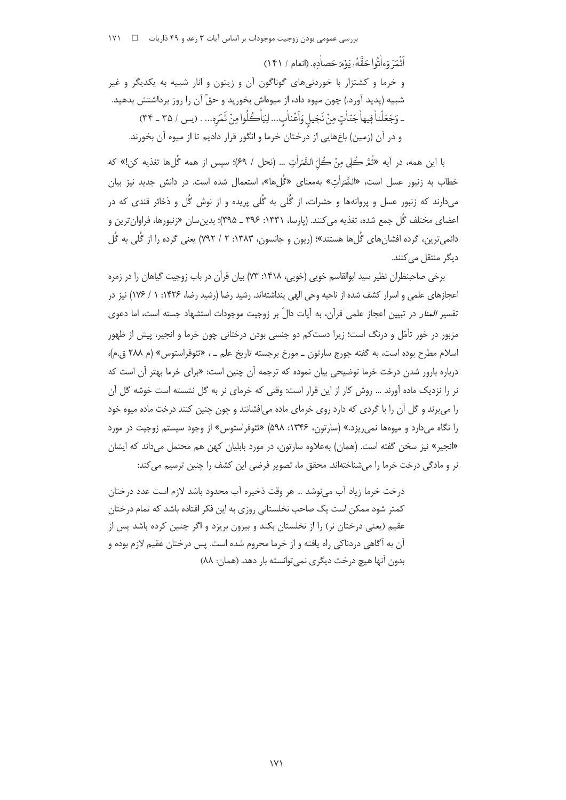أَثْمَرَ وَءِاٰتُوا حَقَّهُ رِيَوْمَرَ حَصادِهِ. (إنعام / ١۴١) و خرما و کشتزار با خوردنی های گوناگون آن و زیتون و انار شبیه به یکدیگر و غیر شبیه (پدید آورد.) چون میوه داد، از میوهاش بخورید و حقّ آن را روز برداشتش بدهید. ـ وَجَعَلْناْفِيهاْجَتَاٰتٍ مِنْ نَجِيلٍ وَاَعْناٰبِ... لِيَاْكُلُوا مِنْ ثَمَرِهِ... . (يس / ٣٥ ـ ٣۴) و در آن (زمین) باغهایی از درختان خرما و انگور قرار دادیم تا از میوه آن بخورند.

با اين همه، در آيه «ثُمَّ ڪُلي منْ ڪُلّ الثَّمَرَات … (نحل / ۶۹)؛ سيس از همه گُلαا تغذيه کن!» که خطاب به زنبور عسل است، «الثَّمَراٰتِ» بهمعنای «گُلها»، استعمال شده است. در دانش جدید نیز بیان میدارند که زنبور عسل و پروانهها و حشرات، از گُلی به گُلی پریده و از نوش گُل و ذخائر قندی که در اعضای مختلف گُل جمع شده، تغذیه می کنند. (پارسا، ۱۳۳۱: ۳۹۶ ــ ۳۹۵)؛ بدین سان «زنبورها، فراوان ترین و دائمیترین، گرده افشانهای گُلها هستند»؛ (ریون و جانسون، ۱۳۸۳: ۲ / ۷۹۲) یعنی گرده را از گُلی به گُل دیگر منتقل می کنند.

برخی صاحبنظران نظیر سید ابوالقاسم خوبی (خوبی، ۱۴۱۸: ۷۳) بیان قرآن در باب زوجیت گیاهان را در زمره اعجازهای علمی و اسرار کشف شده از ناحیه وحی الهی پنداشتهاند. رشید رضا (رشید رضا، ۱۴۲۶: ۱ / ۱۷۶) نیز در تفسیر *المنار* در تبیین اعجاز علمی قرآن، به آیات دالّ بر زوجیت موجودات استشهاد جسته است، اما دعوی مزبور در خور تأمّل و درنگ است؛ زیرا دستکم دو جنسی بودن درختانی چون خرما و انجیر، پیش از ظهور اسلام مطرح بوده است، به گفته جورج سارتون \_ مورخ برجسته تاریخ علم \_ ، «ثئوفراستوس» (م ۲۸۸ ق.م)، درباره بارور شدن درخت خرما توضیحی بیان نموده که ترجمه آن چنین است: «برای خرما بهتر آن است که نر را نزدیک ماده آورند … روش کار از این قرار است: وقتی که خرمای نر به گل نشسته است خوشه گل آن را می برند و گل آن را با گردی که دارد روی خرمای ماده می|فشانند و چون چنین کنند درخت ماده میوه خود را نگاه میدارد و میومها نمی ریزد.» (سارتون، ۱۳۴۶: ۵۹۸) «تئوفراستوس» از وجود سیستم زوجیت در مورد «انجیر» نیز سخن گفته است. (همان) بهعلاوه سارتون، در مورد بابلیان کهن هم محتمل می داند که ایشان نر و مادگی درخت خرما را میشناختهاند. محقق ما، تصویر فرضی این کشف را چنین ترسیم می کند:

درخت خرما زياد آب مي;وشد … هر وقت ذخيره آب محدود باشد لازم است عدد درختان کمتر شود ممکن است یک صاحب نخلستانی روزی به این فکر افتاده باشد که تمام درختان عقیم (یعنی درختان نر) ,ا از نخلستان بکند و بیرون بریزد و اگر چنین کرده باشد پس از آن به آگاهی دردناکی راه یافته و از خرما محروم شده است. پس درختان عقیم لازم بوده و بدون آنها هيچ درخت ديگري نمي توانسته بار دهد. (همان: ٨٨)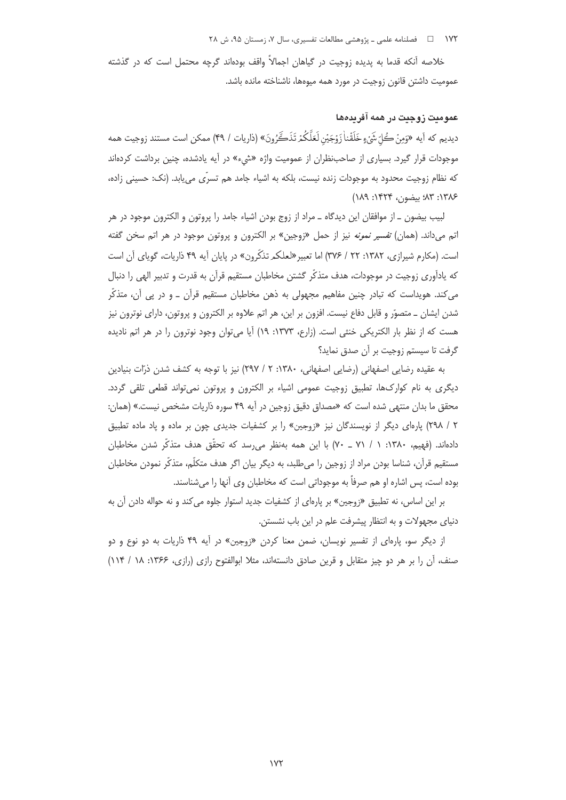۱۷۲ فصلنامه علمی ـ پژوهشی مطالعات تفسیری، سال ۰۷ زمستان ۹۵، ش ۲۸

خلاصه آنکه قدما به پدیده زوجیت در گیاهان اجمالاً واقف بودهاند گرچه محتمل است که در گذشته عمومیت داشتن قانون زوجیت در مورد همه میوهها، ناشناخته مانده باشد.

## عموميت زوجيت در همه آفريدهها

ديديم كه أيه «وَمِنْ كُلّ شَيْءٍ خَلَقْناٰ زَوْجَيْن لَعَلَّكُمْ تَذَكَّرُونَ» (ذاريات / ۴۹) ممكن است مستند زوجيت همه موجودات قرار گیرد. بسیاری از صاحبنظران از عمومیت واژه «شیء» در آیه یادشده، چنین برداشت کردهاند كه نظام زوجيت محدود به موجودات زنده نيست، بلكه به اشياء جامد هم تسرّى مي يابد. (نك: حسيني زاده، ١٣٨٤: ٨٣: بيضون، ١۴٢۴: ١٨٩)

لبیب بیضون ـ از موافقان این دیدگاه ــ مراد از زوج بودن اشیاء جامد را پروتون و الکترون موجود در هر اتم میداند. (همان) *تفسیر نمونه* نیز از حمل «زوجین» بر الکترون و پروتون موجود در هر اتم سخن گفته است. (مکارم شیرازی، ۱۳۸۲: ۲۲ / ۳۷۶) اما تعبیر «لعلکم تذکّرون» در پایان آیه ۴۹ ذاریات، گویای آن است که یادآوری زوجیت در موجودات، هدف متذکّر گشتن مخاطبان مستقیم قرآن به قدرت و تدبیر الهی را دنبال می کند. هویداست که تبادر چنین مفاهیم مجهولی به ذهن مخاطبان مستقیم قرآن ــ و در پی آن، متذکّر شدن ایشان ــ متصوّر و قابل دفاع نیست. افزون بر این، هر اتم علاوه بر الکترون و پروتون، دارای نوترون نیز هست که از نظر بار الکتریکی خنثی است. (زارع، ۱۳۷۳: ۱۹) آیا می¤وان وجود نوترون را در هر اتم نادیده گرفت تا سیستم زوجیت بر آن صدق نماید؟

به عقیده رضایی اصفهانی (رضایی اصفهانی، ۱۳۸۰: ۲ / ۲۹۷) نیز با توجه به کشف شدن ذرّات بنیادین دیگری به نام کوارکھا، تطبیق زوجیت عمومی اشیاء بر الکترون و پروتون نمیتواند قطعی تلقی گردد. محقق ما بدان منتهى شده است كه «مصداق دقيق زوجين در آيه ۴۹ سوره ذاريات مشخص نيست.» (همان: ۲ / ۲۹۸) پارهای دیگر از نویسندگان نیز «زوجین» را بر کشفیات جدیدی چون بر ماده و پاد ماده تطبیق دادهاند. (فهیم، ۱۳۸۰: ۱ / ۷۱ \_ ۷۰) با این همه بهنظر می رسد که تحقّق هدف متذکّر شدن مخاطبان مستقیم قرآن، شناسا بودن مراد از زوجین را میطلبد، به دیگر بیان اگر هدف متکلّم، متذکّر نمودن مخاطبان بوده است، پس اشاره او هم صرفاً به موجوداتی است که مخاطبان وی آنها را میشناسند.

بر این اساس، نه تطبیق «زوجین» بر پارهای از کشفیات جدید استوار جلوه می کند و نه حواله دادن آن به دنیای مجهولات و به انتظار پیشرفت علم در این باب نشستن.

از دیگر سو، پارهای از تفسیر نویسان، ضمن معنا کردن «زوجین» در آیه ۴۹ ذاریات به دو نوع و دو صنف، آن را بر هر دو چیز متقابل و قرین صادق دانستهاند، مثلا ابوالفتوح رازی (رازی، ۱۳۶۶: ۱۸ / ۱۱۴)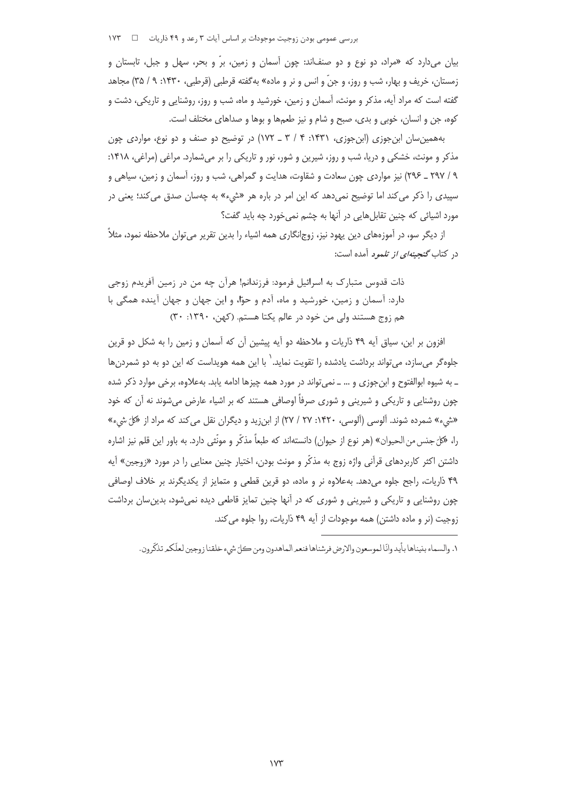بررسی عمومی بودن زوجیت موجودات بر اساس آیات ۳ رعد و ۴۹ ذاریات = 1 × ۱۷۳

بیان میدارد که «مراد، دو نوع و دو صنفاند: چون آسمان و زمین، برّ و بحر، سهل و جبل، تابستان و زمستان، خریف و بهار، شب و روز، و جنّ و انس و نر و ماده» به گفته قرطبی (قرطبی، ۱۴۳۰: ۹ / ۳۵) مجاهد گفته است که مراد آیه، مذکر و مونث، آسمان و زمین، خورشید و ماه، شب و روز، روشنایی و تاریکی، دشت و کوه، جن و انسان، خوبی و بدی، صبح و شام و نیز طعمها و بوها و صداهای مختلف است.

بههمین سان ابن جوزی (ابن جوزی، ۱۴۳۱: ۴ / ۳ ـ ۱۷۲) در توضیح دو صنف و دو نوع، مواردی چون مذکر و مونث، خشکی و دریا، شب و روز، شیرین و شور، نور و تاریکی را بر میشمارد. مراغی (مراغی، ۱۴۱۸: ۹ / ۲۹۷ ـ ۲۹۶) نیز مواردی چون سعادت و شقاوت، هدایت و گمراهی، شب و روز، آسمان و زمین، سیاهی و سپیدی را ذکر می کند اما توضیح نمیدهد که این امر در باره هر «شیء» به چهسان صدق می کند؛ یعنی در مورد اشیائی که چنین تقابلهایی در آنها به چشم نمی خورد چه باید گفت؟

از دیگر سو، در آموزههای دین پهود نیز، زوج|نگاری همه اشیاء را بدین تقریر می توان ملاحظه نمود، مثلاً د<sub>۱</sub> کتاب *گنجینهای از تلمو د* آمده است:

ذات قدوس متبارک به اسرائیل فرمود: فرزندانم! هرآن چه من در زمین آفریدم زوجی دارد: آسمان و زمین، خورشید و ماه، آدم و حوّا، و این جهان و جهان آینده همگی با هم زوج هستند ولي من خود در عالم يكتا هستم. (كهن، ١٣٩٠: ٣٠)

افزون بر این، سیاق آیه ۴۹ ذاریات و ملاحظه دو آیه پیشین آن که آسمان و زمین را به شکل دو قرین جلوهگر می سازد، می تواند برداشت یادشده را تقویت نماید. ٰ با این همه هویداست که این دو به دو شمردن ها ـ به شیوه ابوالفتوح و ابنجوزی و … ــ نمی تواند در مورد همه چیزها ادامه یابد. بهعلاوه، برخی موارد ذکر شده چون روشنایی و تاریکی و شیرینی و شوری صرفاً اوصافی هستند که بر اشیاء عارض میشوند نه آن که خود «شيء» شمرده شوند. آلوسي (آلوسي، ١۴٢٠: ٢٧ / ٢٧) از ابن;يد و ديگران نقل مي كند كه مراد از «كلّ شيء» را، «كلّ جنس من الحيوان» (هر نوع از حيوان) دانستهاند كه طبعاً مذكّر و مونّثي دارد. به باور اين قلم نيز اشاره داشتن اکثر کاربردهای قرآنی واژه زوج به مذکّر و مونث بودن، اختیار چنین معنایی را در مورد «زوجین» آیه ۴۹ ذاریات، راجح جلوه می دهد. به علاوه نر و ماده، دو قرین قطعی و متمایز از یکدیگرند بر خلاف اوصافی چون روشنایی و تاریکی و شیرینی و شوری که در آنها چنین تمایز قاطعی دیده نمیشود، بدین سان برداشت زوجیت (نر و ماده داشتن) همه موجودات از آیه ۴۹ ذاریات، روا جلوه می کند.

١. والسماء بنيناها بأيد وانّا لموسعون والارض فرشناها فنعمر الماهدون ومن ڪلّ شيء خلقنا زوجين لعلّكمر تذكّرون.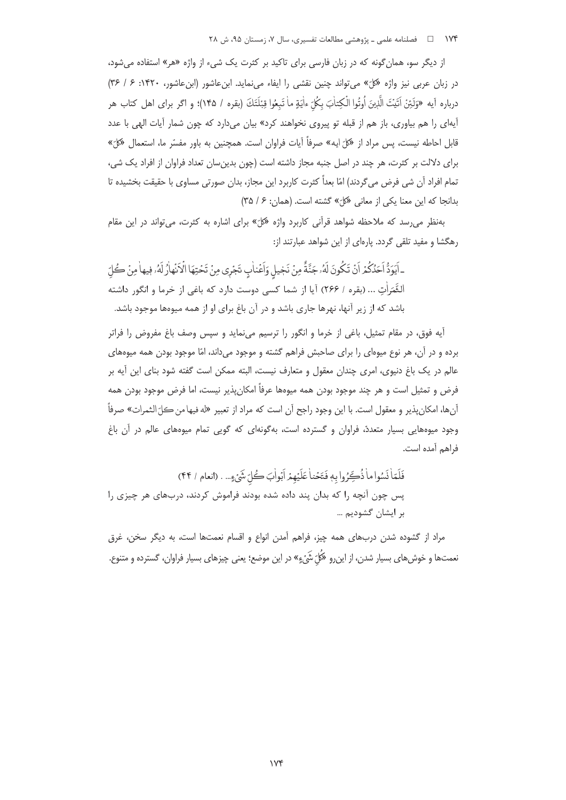از دیگر سو، همان گونه که در زبان فارسی برای تاکید بر کثرت یک شیء از واژه «هر» استفاده می شود، در زبان عربی نیز واژه «کلّ» می تواند چنین نقشی را ایفاء می نماید. ابن عاشور (ابن عاشور، ۱۴۲۰: ۶ / ۳۶) درباره أيه «وَلَئِنْ اَتَيْتَ الَّذِينَ أُوتُوا الْكِتابَ بِكُلِّ ءاٰيَةٍ ماٰ تَبِعُوا قِبْلَتَكَ (بقره / ١۴۵)؛ و اگر براي اهل كتاب هر .<br>آیهای را هم بیاوری، باز هم از قبله تو پیروی نخواهند کرد» بیان میدارد که چون شمار آیات الهی با عدد قابل احاطه نیست، پس مراد از «کلّ ایه» صرفاً آیات فراوان است. همچنین به باور مفسّر ما، استعمال «کلّ» برای دلالت بر کثرت، هر چند در اصل جنبه مجاز داشته است (چون بدین سان تعداد فراوان از افراد یک شی، تمام افراد آن شی فرض می گردند) امّا بعداً کثرت کاربرد این مجاز، بدان صورتی مساوی با حقیقت بخشیده تا بدانجا كه اين معنا يكي از معاني «كلّ» كشته است. (همان: ۶/ ٣٥)

بهنظر می رسد که ملاحظه شواهد قرآنی کاربرد واژه «کلّ» برای اشاره به کثرت، می تواند در این مقام رهگشا و مفید تلقی گردد. پارهای از این شواهد عبارتند از:

ـ اَيَوَدُّ اَحَدُكُمْ اَنْ تَكُونَ لَهُۥ جَنَّةً مِنْ نَجْيلِ وَاَعْنابِ تَجْرِي مِنْ تَحْتِهَا الْاَنْهارُ لَهُۥ فيها مِنْ كُلِّ الثَّمَرَاٰتِ ... (بقره / ٢۶۶) آیا از شما کسی دوست دارد که باغی از خرما و انگور داشته باشد که از زیر آنها، نهرها جاری باشد و در آن باغ برای او از همه میوهها موجود باشد.

آيه فوق، در مقام تمثيل، باغي از خرما و انگور را ترسيم مي نمايد و سپس وصف باغ مفروض را فراتر برده و در آن، هر نوع میوهای را برای صاحبش فراهم گشته و موجود می داند، امّا موجود بودن همه میوههای عالم در یک باغ دنیوی، امری چندان معقول و متعارف نیست، البته ممکن است گفته شود بنای این آیه بر فرض و تمثيل است و هر چند موجود بودن همه ميوهها عرفاً امكان پذير نيست، اما فرض موجود بودن همه أنها، امكان پذير و معقول است. با اين وجود راجح أن است كه مراد از تعبير «له فيها من كلّ الثمرات» صرفاً وجود میوههایی بسیار متعدد، فراوان و گسترده است، بهگونهای که گویی تمام میوههای عالم در آن باغ فراهم آمده است.

فَلَعَاٰ نَسُوا ماٰ ذُبِّحُرُوا بِهِ فَتَحْناٰ عَلَيْهِمْ أَبْواٰبَ هُٔ أَنْ شَيْءٍ... . (انعام / ۴۴) یس چون آنچه را که بدان پند داده شده بودند فراموش کردند، دربهای هر چیزی را بر ایشان گشودیم …

مراد از گشوده شدن دربهای همه چیز، فراهم آمدن انواع و اقسام نعمتها است، به دیگر سخن، غرق .<br>نعمتها و خوش های بسیار شدن، از این رو «کُلّ شَیّ ءِ» در این موضع؛ یعنی چیزهای بسیار فراوان، گسترده و متنوع.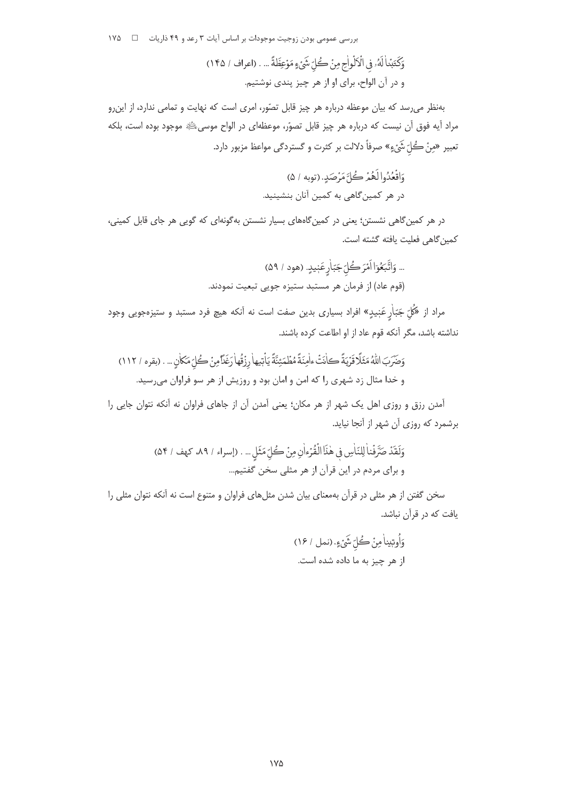بررسی عمومی بودن زوجیت موجودات بر اساس آیات ۳ رعد و ۴۹ ذاریات ۔ □ ۱۷۵

بهنظر می رسد که بیان موعظه درباره هر چیز قابل تصّور، امری است که نهایت و تمامی ندارد، از این رو مراد آيه فوق آن نيست كه درباره هر چيز قابل تصوّر، موعظهاي در الواح موسىﷺ موجود بوده است، بلكه تعبير «مِنْ كُلّ شَيْءٍ» صرفاً دلالت بر كثرت و گستردگي مواعظ مزبور دارد.

در هر کمین گاهی نشستن؛ یعنی در کمین گاههای بسیار نشستن به گونهای که گویی هر جای قابل کمینی، كمين گاهي فعليت يافته گشته است.

> ... وَاتَّبَعُوٓا اَمْرَكُلِّ جَبّاٰرٍعَبٖيدٍ. (هود / ۵۹) .<br>(قوم عاد) از فرمان هر مستبد ستیزه جویی تبعیت نمودند.

مراد از «کُلّ جَبّاٰرِ عَنٖیدٍ» افراد بسیاری بدین صفت است نه آنکه هیچ فرد مستبد و ستیزهجویی وجود .<br>نداشته باشد، مگر آنکه قوم عاد از او اطاعت کرده باشند.

آمدن رزق و روزی اهل یک شهر از هر مکان؛ یعنی آمدن آن از جاهای فراوان نه آنکه نتوان جایی را برشمرد که روزی آن شهر از آنجا نباید.

سخن گفتن از هر مثلی در قرآن بهمعنای بیان شدن مثلهای فراوان و متنوع است نه آنکه نتوان مثلی را یافت که در قرآن نباشد.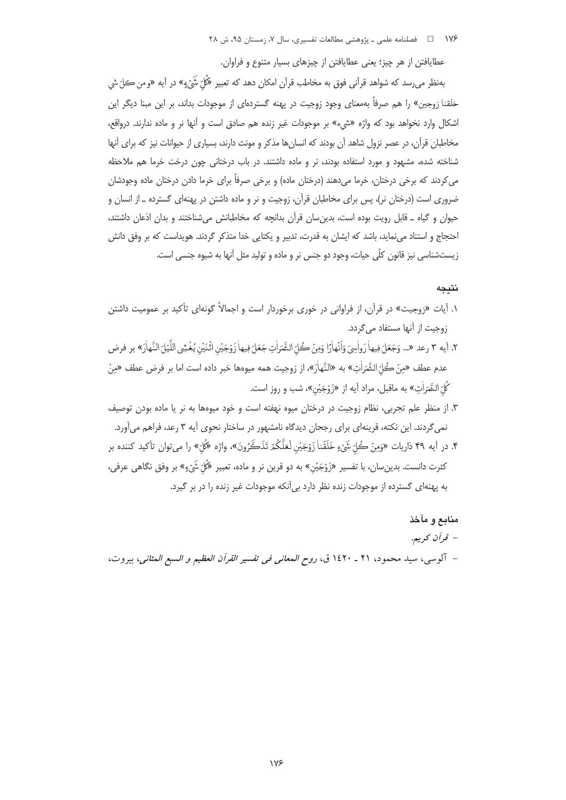عطایافتن از هر چیز؛ یعنی عطایافتن از چیزهای بسیار متنوع و فراوان.

بهنظر مي,رسد كه شواهد قرآني فوق به مخاطب قرآن امكان دهد كه تعبير «كُلّ شَيْءٍ» در آيه «ومن كلّ شي خلقنا زوجین» را هم صرفاً بهمعنای وجود زوجیت در پهنه گستردهای از موجودات بداند، بر این مبنا دیگر این اشكال وارد نخواهد بود كه واژه «شيء» بر موجودات غير زنده هم صادق است و آنها نر و ماده ندارند. درواق*ع،* مخاطبان قرآن، در عصر نزول شاهد آن بودند که انسان ها مذکر و مونث دارند، بسیاری از حیوانات نیز که برای آنها شناخته شده، مشهود و مورد استفاده بودند، نر و ماده داشتند. در باب درختانی چون درخت خرما هم ملاحظه می کردند که برخی درختان، خرما میدهند (درختان ماده) و برخی صرفاً برای خرما دادن درختان ماده وجودشان ضروری است (درختان نر)، پس برای مخاطبان قرآن، زوجیت و نر و ماده داشتن در پهنهای گسترده ــ از انسان و حیوان و گیاه ـ قابل رویت بوده است، بدین سان قرآن بدانچه که مخاطبانش میشناختند و بدان اذعان داشتند، احتجاج و استناد می نماید، باشد که ایشان به قدرت، تدبیر و یکتایی خدا متذکر گردند. هویداست که بر وفق دانش زیستشناسی نیز قانون کلّی حیات، وجود دو جنس نر و ماده و تولید مثل آنها به شیوه جنسی است.

## نتىجە

- ۱. آیات «<sub>زو</sub>جیت» در قرآن، از فراوانی در خوری برخوردار است و اجمالاً گونهای تأکید بر عمومیت داشتن زوجیت از آنها مستفاد مے گردد.
- ٢. آيه ٣ رعد «... وَجَعَلَ فِيهاٰ دَواْسِيَ وَأَنْهاٰدًا وَمِنْ كُلّ الشَّعَراٰتِ جَعَلَ فِيهاٰ ذَوْجَيْنِ اثْنَيْن يُغْشِي اللَّيْلَ النَّهاٰرَ» بر فرض عدم عطف «مِنْ كُلّ الثَّمَرَاٰتِ» به «النَّهاٰرَ»، از زوجيت همه ميوهها خبر داده است اما بر فرض عطف «مِنْ كُلّ الثَّمَراٰتِ» به ماقبل، مراد أيه از «زَوْجَيْن»، شب و روز است.
- ۳. از منظر علم تجربی، نظام زوجیت در درختان میوه نهفته است و خود میوهها به نر یا ماده بودن توصیف نمی گردند. این نکته، قرینهای برای رجحان دیدگاه نامشهور در ساختار نحوی آیه ۳ رعد، فراهم میآورد. ۴. در آيه ۴۹ ذاريات «وَمِنْ كُلّ شَيْءٍ خَلَقْناٰ زَوْجَيْن لَعَلَّكُمْ تَذَكَّرُونَ»، واژه «كُلّ» را مي¤وان تأكيد كننده بر کثرت دانست. بدين سان، با تفسير «زَوْجَيْن» به دو قرين نر و ماده، تعبير «كُلّ شَيْءٍ» بر وفق نگاهي عرفي، به پهنهای گسترده از موجودات زنده نظر دارد بی آنکه موجودات غیر زنده را در بر گیرد.
- منابع و مآخذ – قرآن كريم. – آلوسي، سيد محمود، ٢١ ـ ١٤٢٠ ق، ر*وح المعاني في تفسير القرآن العظيم و السبع المثاني*، بيروت،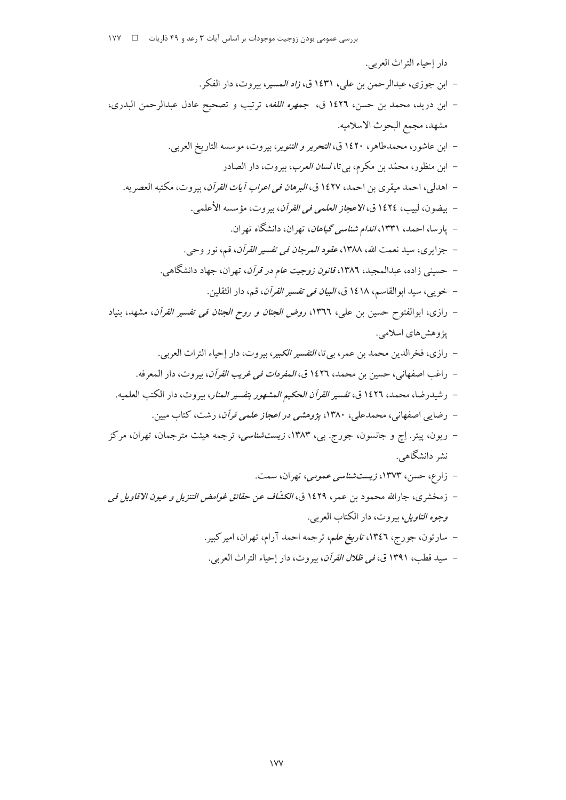– سيد قطب، ١٣٩١ ق، *في ظلال القرآن*، بيروت، دار إحياء التراث العربي.